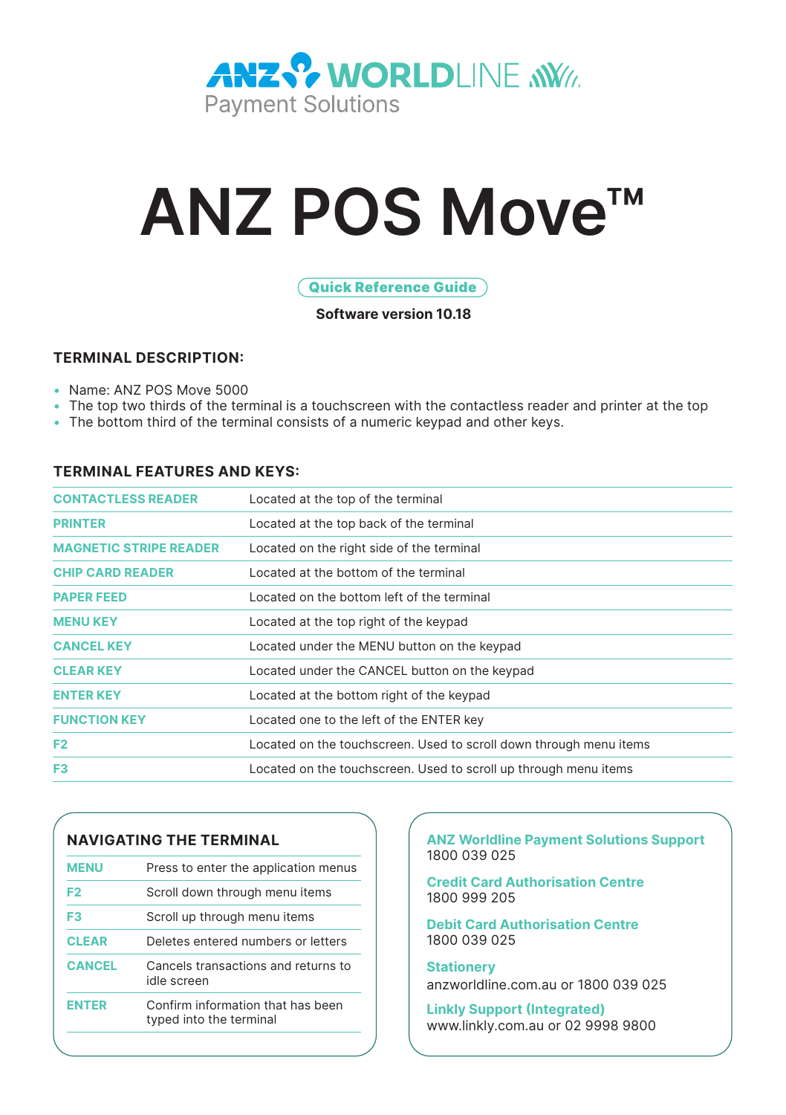

# **ANZ POS Move™**

#### Quick Reference Guide

**Software version 10.18** 

#### **TERMINAL DESCRIPTION:**

- Name: ANZ POS Move 5000
- The top two thirds of the terminal is a touchscreen with the contactless reader and printer at the top
- The bottom third of the terminal consists of a numeric keypad and other keys.

#### **TERMINAL FEATURES AND KEYS:**

| <b>CONTACTLESS READER</b>     | Located at the top of the terminal                                 |
|-------------------------------|--------------------------------------------------------------------|
| <b>PRINTER</b>                | Located at the top back of the terminal                            |
| <b>MAGNETIC STRIPE READER</b> | Located on the right side of the terminal                          |
| <b>CHIP CARD READER</b>       | Located at the bottom of the terminal                              |
| <b>PAPER FEED</b>             | Located on the bottom left of the terminal                         |
| <b>MENU KEY</b>               | Located at the top right of the keypad                             |
| <b>CANCEL KEY</b>             | Located under the MENU button on the keypad                        |
| <b>CLEAR KEY</b>              | Located under the CANCEL button on the keypad                      |
| <b>ENTER KEY</b>              | Located at the bottom right of the keypad                          |
| <b>FUNCTION KEY</b>           | Located one to the left of the ENTER key                           |
| F <sub>2</sub>                | Located on the touchscreen. Used to scroll down through menu items |
| F <sub>3</sub>                | Located on the touchscreen. Used to scroll up through menu items   |
|                               |                                                                    |

### **NAVIGATING THE TERMINAL**

| <b>MENU</b>    | Press to enter the application menus                         |
|----------------|--------------------------------------------------------------|
| F <sub>2</sub> | Scroll down through menu items                               |
| F3             | Scroll up through menu items                                 |
| <b>CLEAR</b>   | Deletes entered numbers or letters                           |
| <b>CANCEL</b>  | Cancels transactions and returns to<br>idle screen           |
| <b>ENTER</b>   | Confirm information that has been<br>typed into the terminal |

**ANZ Worldline Payment Solutions Support** 1800 039 025

**Credit Card Authorisation Centre F2** Scroll down through menu items 1800 999 205

**Debit Card Authorisation Centre CLEAR** Deletes entered numbers or letters 1800 039 025

**Stationery** anzworldline.com.au or 1800 039 025

**Linkly Support (Integrated)**<br><www.linkly.com.au>or 02 9998 9800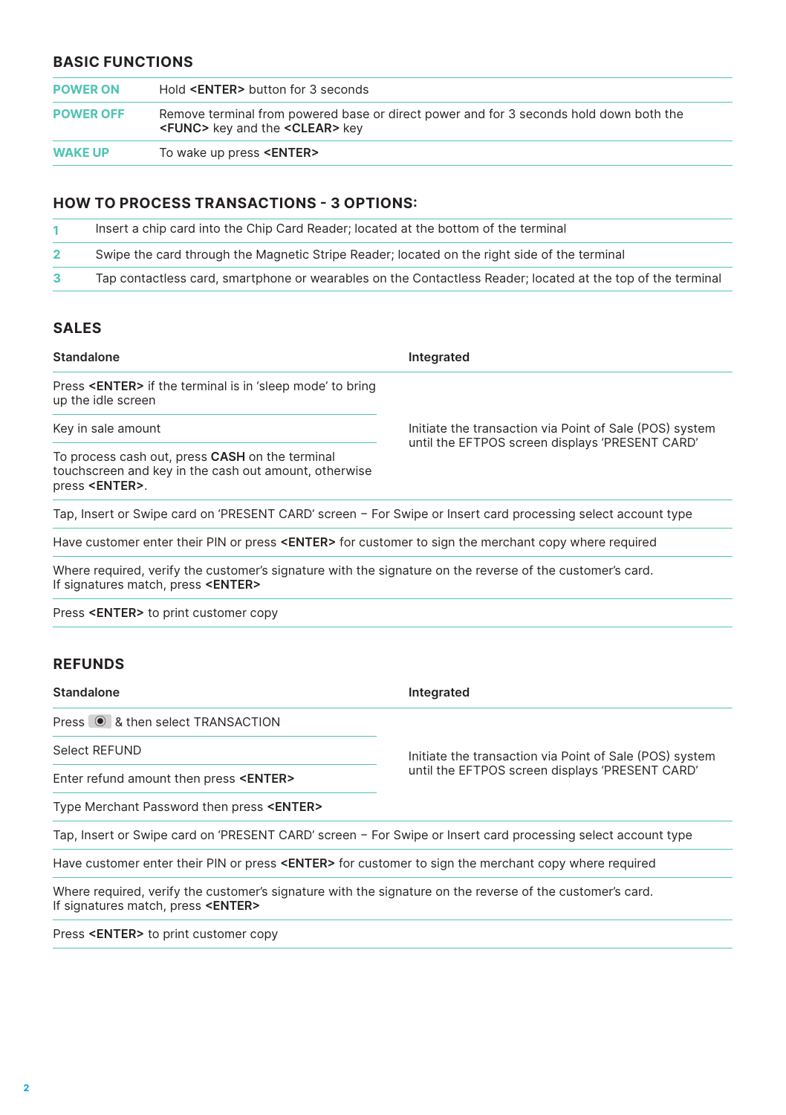#### **BASIC FUNCTIONS**

| <b>POWER ON</b>  | Hold <enter> button for 3 seconds</enter>                                                                                               |
|------------------|-----------------------------------------------------------------------------------------------------------------------------------------|
| <b>POWER OFF</b> | Remove terminal from powered base or direct power and for 3 seconds hold down both the<br><func> key and the <clear> key</clear></func> |
| <b>WAKE UP</b>   | To wake up press < <b>ENTER&gt;</b>                                                                                                     |

#### **HOW TO PROCESS TRANSACTIONS - 3 OPTIONS:**

| Insert a chip card into the Chip Card Reader: located at the bottom of the terminal                         |
|-------------------------------------------------------------------------------------------------------------|
| Swipe the card through the Magnetic Stripe Reader; located on the right side of the terminal                |
| Tap contactless card, smartphone or wearables on the Contactless Reader; located at the top of the terminal |

#### **SALES**

| Standalone                                                                                                                                              | Integrated                                              |  |
|---------------------------------------------------------------------------------------------------------------------------------------------------------|---------------------------------------------------------|--|
| Press < <b>ENTER&gt;</b> if the terminal is in 'sleep mode' to bring<br>up the idle screen                                                              |                                                         |  |
| Key in sale amount                                                                                                                                      | Initiate the transaction via Point of Sale (POS) system |  |
| To process cash out, press CASH on the terminal<br>touchscreen and key in the cash out amount, otherwise<br>press <enter>.</enter>                      | until the EFTPOS screen displays 'PRESENT CARD'         |  |
| Tap, Insert or Swipe card on 'PRESENT CARD' screen - For Swipe or Insert card processing select account type                                            |                                                         |  |
| Have customer enter their PIN or press <enter> for customer to sign the merchant copy where required</enter>                                            |                                                         |  |
| Where required, verify the customer's signature with the signature on the reverse of the customer's card.<br>If signatures match, press <enter></enter> |                                                         |  |
| Press < <b>ENTER&gt;</b> to print customer copy                                                                                                         |                                                         |  |
|                                                                                                                                                         |                                                         |  |

#### **REFUNDS**

**Standalone Integrated** 

Press  $\circledast$  & then select TRANSACTION

Select REFUND<br>
Fortegration description and the transaction via Point of Sale (POS) system<br>
Fortegration of Sale (POS) system until the EFTPOS screen displays 'PRESENT CARD'

Enter refund amount then press <ENTER>

Type Merchant Password then press **<ENTER>** 

Tap, Insert or Swipe card on 'PRESENT CARD' screen − For Swipe or Insert card processing select account type

Have customer enter their PIN or press **<ENTER>** for customer to sign the merchant copy where required

Where required, verify the customer's signature with the signature on the reverse of the customer's card.<br>If signatures match, press **<ENTER>** 

Press **<ENTER>** to print customer copy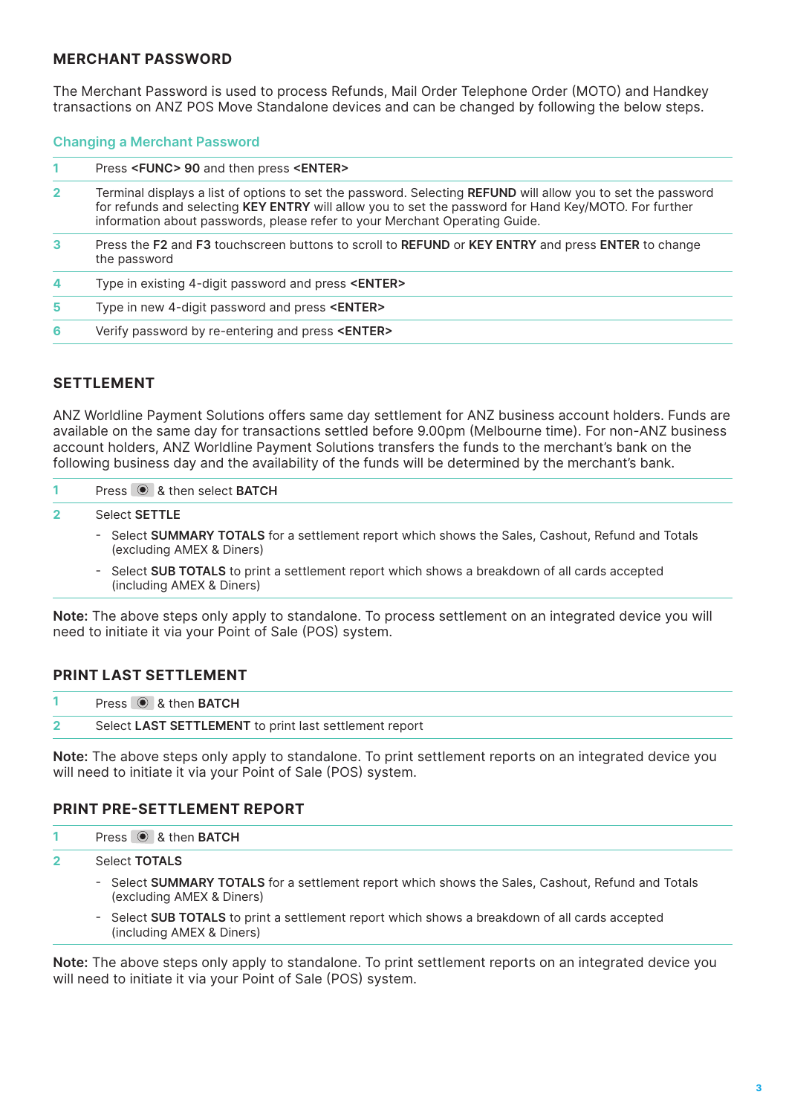#### **MERCHANT PASSWORD**

The Merchant Password is used to process Refunds, Mail Order Telephone Order (MOTO) and Handkey transactions on ANZ POS Move Standalone devices and can be changed by following the below steps.

#### **Changing a Merchant Password**

|                | Press <func> 90 and then press <enter></enter></func>                                                                                                                                                                                                                                                |
|----------------|------------------------------------------------------------------------------------------------------------------------------------------------------------------------------------------------------------------------------------------------------------------------------------------------------|
| $\overline{2}$ | Terminal displays a list of options to set the password. Selecting REFUND will allow you to set the password<br>for refunds and selecting KEY ENTRY will allow you to set the password for Hand Key/MOTO. For further<br>information about passwords, please refer to your Merchant Operating Guide. |
| 3              | Press the F2 and F3 touchscreen buttons to scroll to REFUND or KEY ENTRY and press ENTER to change<br>the password                                                                                                                                                                                   |
| 4              | Type in existing 4-digit password and press <enter></enter>                                                                                                                                                                                                                                          |
| 5              | Type in new 4-digit password and press <enter></enter>                                                                                                                                                                                                                                               |
| 6              | Verify password by re-entering and press < <b>ENTER&gt;</b>                                                                                                                                                                                                                                          |

#### **SETTLEMENT**

ANZ Worldline Payment Solutions offers same day settlement for ANZ business account holders. Funds are available on the same day for transactions settled before 9.00pm (Melbourne time). For non-ANZ business account holders, ANZ Worldline Payment Solutions transfers the funds to the merchant's bank on the following business day and the availability of the funds will be determined by the merchant's bank.

| Press <sup>1</sup> & then select <b>BATCH</b>                                                                                  |
|--------------------------------------------------------------------------------------------------------------------------------|
| Select <b>SETTLE</b>                                                                                                           |
| - Select SUMMARY TOTALS for a settlement report which shows the Sales, Cashout, Refund and Totals<br>(excluding AMEX & Diners) |
| Outled OLID TOTAL Odd a state of cooling and search that the characteristic and of all countries are and all                   |

 - Select **SUB TOTALS** to print a settlement report which shows a breakdown of all cards accepted (including AMEX & Diners)

**Note:** The above steps only apply to standalone. To process settlement on an integrated device you will need to initiate it via your Point of Sale (POS) system.

#### **PRINT LAST SETTLEMENT**

| Press $\circledcirc$ & then <b>BATCH</b>               |
|--------------------------------------------------------|
| Select LAST SETTLEMENT to print last settlement report |

**Note:** The above steps only apply to standalone. To print settlement reports on an integrated device you will need to initiate it via your Point of Sale (POS) system.

#### **PRINT PRE-SETTLEMENT REPORT**

|  | Press $\odot$ & then BATCH |
|--|----------------------------|
|--|----------------------------|

Select **TOTALS 2** 

- - Select **SUMMARY TOTALS** for a settlement report which shows the Sales, Cashout, Refund and Totals (excluding AMEX & Diners)
- Select **SUB TOTALS** to print a settlement report which shows a breakdown of all cards accepted (including AMEX & Diners)

**Note:** The above steps only apply to standalone. To print settlement reports on an integrated device you will need to initiate it via your Point of Sale (POS) system.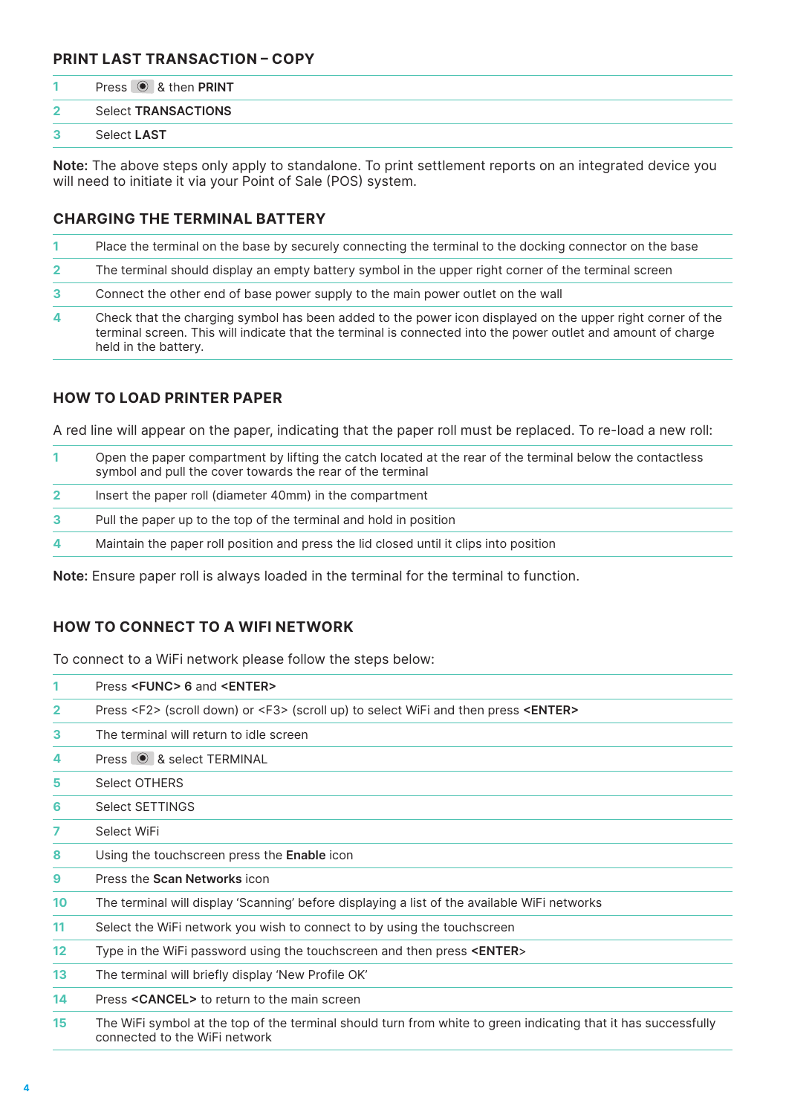#### **PRINT LAST TRANSACTION – COPY**

|               | Press <sup>®</sup> & then PRINT |
|---------------|---------------------------------|
| $\mathcal{P}$ | Select TRANSACTIONS             |
| $\mathbf{3}$  | Select LAST                     |

**Note:** The above steps only apply to standalone. To print settlement reports on an integrated device you will need to initiate it via your Point of Sale (POS) system.

#### **CHARGING THE TERMINAL BATTERY**

|              | Place the terminal on the base by securely connecting the terminal to the docking connector on the base                                                                                                                                             |
|--------------|-----------------------------------------------------------------------------------------------------------------------------------------------------------------------------------------------------------------------------------------------------|
| $\mathbf{2}$ | The terminal should display an empty battery symbol in the upper right corner of the terminal screen                                                                                                                                                |
| 3            | Connect the other end of base power supply to the main power outlet on the wall                                                                                                                                                                     |
| 4            | Check that the charging symbol has been added to the power icon displayed on the upper right corner of the<br>terminal screen. This will indicate that the terminal is connected into the power outlet and amount of charge<br>held in the battery. |

#### **HOW TO LOAD PRINTER PAPER**

A red line will appear on the paper, indicating that the paper roll must be replaced. To re-load a new roll:

|   | Open the paper compartment by lifting the catch located at the rear of the terminal below the contactless<br>symbol and pull the cover towards the rear of the terminal |
|---|-------------------------------------------------------------------------------------------------------------------------------------------------------------------------|
|   | Insert the paper roll (diameter 40mm) in the compartment                                                                                                                |
|   | Pull the paper up to the top of the terminal and hold in position                                                                                                       |
| 4 | Maintain the paper roll position and press the lid closed until it clips into position                                                                                  |

**Note:** Ensure paper roll is always loaded in the terminal for the terminal to function.

#### **HOW TO CONNECT TO A WIFI NETWORK**

To connect to a WiFi network please follow the steps below:

| 1                 | Press <func> 6 and <enter></enter></func>                                                                                                       |  |  |  |
|-------------------|-------------------------------------------------------------------------------------------------------------------------------------------------|--|--|--|
| $\overline{2}$    | Press <f2> (scroll down) or <f3> (scroll up) to select WiFi and then press <enter></enter></f3></f2>                                            |  |  |  |
| 3                 | The terminal will return to idle screen                                                                                                         |  |  |  |
| 4                 | Press <sup>1</sup> & select TERMINAL                                                                                                            |  |  |  |
| 5                 | Select OTHERS                                                                                                                                   |  |  |  |
| 6                 | <b>Select SETTINGS</b>                                                                                                                          |  |  |  |
| 7                 | Select WiFi                                                                                                                                     |  |  |  |
| 8                 | Using the touchscreen press the Enable icon                                                                                                     |  |  |  |
| 9                 | Press the Scan Networks icon                                                                                                                    |  |  |  |
| 10                | The terminal will display 'Scanning' before displaying a list of the available WiFi networks                                                    |  |  |  |
| 11                | Select the WiFi network you wish to connect to by using the touchscreen                                                                         |  |  |  |
| $12 \overline{ }$ | Type in the WiFi password using the touchscreen and then press <enter></enter>                                                                  |  |  |  |
| 13 <sup>°</sup>   | The terminal will briefly display 'New Profile OK'                                                                                              |  |  |  |
| 14                | Press <cancel> to return to the main screen</cancel>                                                                                            |  |  |  |
| 15                | The WiFi symbol at the top of the terminal should turn from white to green indicating that it has successfully<br>connected to the WiFi network |  |  |  |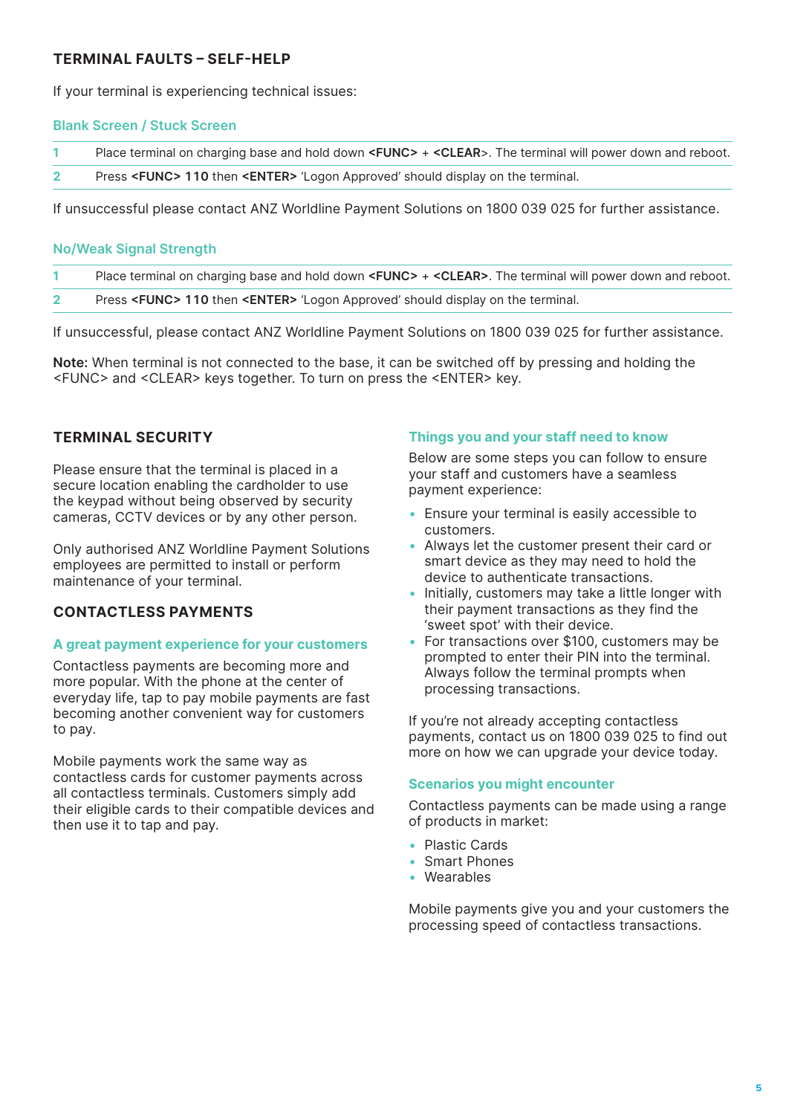#### **TERMINAL FAULTS – SELF-HELP**

If your terminal is experiencing technical issues:

#### **Blank Screen / Stuck Screen**

| Place terminal on charging base and hold down <func> <math>+</math> <clear>. The terminal will power down and reboot.</clear></func> |  |  |  |
|--------------------------------------------------------------------------------------------------------------------------------------|--|--|--|
|                                                                                                                                      |  |  |  |

**2**  Press **<FUNC> 110** then **<ENTER>** 'Logon Approved' should display on the terminal.

If unsuccessful please contact ANZ Worldline Payment Solutions on 1800 039 025 for further assistance.

#### **No/Weak Signal Strength**

| Place terminal on charging base and hold down <func> + <clear>. The terminal will power down and reboot.</clear></func> |
|-------------------------------------------------------------------------------------------------------------------------|
| Press <func> 110 then <enter> 'Logon Approved' should display on the terminal.</enter></func>                           |

If unsuccessful, please contact ANZ Worldline Payment Solutions on 1800 039 025 for further assistance.

**Note:** When terminal is not connected to the base, it can be switched off by pressing and holding the <FUNC> and <CLEAR> keys together. To turn on press the <ENTER> key.

#### **TERMINAL SECURITY**

Please ensure that the terminal is placed in a secure location enabling the cardholder to use the keypad without being observed by security cameras, CCTV devices or by any other person.

Only authorised ANZ Worldline Payment Solutions employees are permitted to install or perform maintenance of your terminal.

#### **CONTACTLESS PAYMENTS**

#### **A great payment experience for your customers**

Contactless payments are becoming more and more popular. With the phone at the center of everyday life, tap to pay mobile payments are fast becoming another convenient way for customers to pay.

Mobile payments work the same way as contactless cards for customer payments across all contactless terminals. Customers simply add their eligible cards to their compatible devices and then use it to tap and pay.

#### **Things you and your staff need to know**

Below are some steps you can follow to ensure your staff and customers have a seamless payment experience:

- Ensure your terminal is easily accessible to customers.
- Always let the customer present their card or smart device as they may need to hold the device to authenticate transactions.
- Initially, customers may take a little longer with their payment transactions as they find the 'sweet spot' with their device.
- For transactions over \$100, customers may be prompted to enter their PIN into the terminal. Always follow the terminal prompts when processing transactions.

If you're not already accepting contactless payments, contact us on 1800 039 025 to find out more on how we can upgrade your device today.

#### **Scenarios you might encounter**

Contactless payments can be made using a range of products in market:

- Plastic Cards
- Smart Phones
- Wearables

Mobile payments give you and your customers the processing speed of contactless transactions.